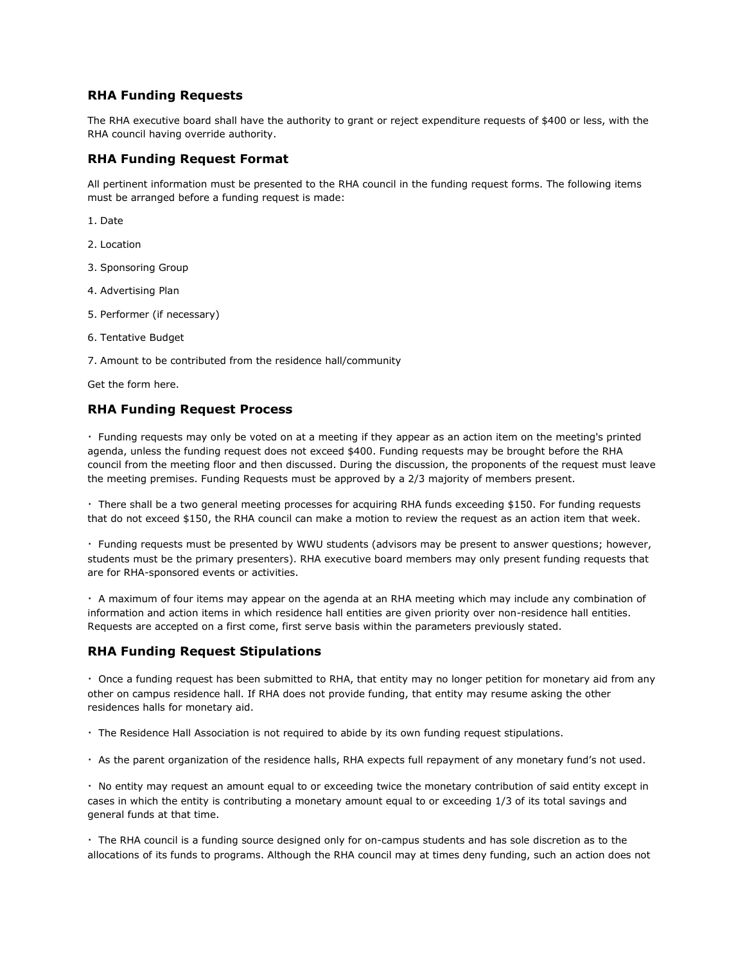## **RHA Funding Requests**

The RHA executive board shall have the authority to grant or reject expenditure requests of \$400 or less, with the RHA council having override authority.

## **RHA Funding Request Format**

All pertinent information must be presented to the RHA council in the funding request forms. The following items must be arranged before a funding request is made:

- 1. Date
- 2. Location
- 3. Sponsoring Group
- 4. Advertising Plan
- 5. Performer (if necessary)
- 6. Tentative Budget
- 7. Amount to be contributed from the residence hall/community

Get the form here.

## **RHA Funding Request Process**

· Funding requests may only be voted on at a meeting if they appear as an action item on the meeting's printed agenda, unless the funding request does not exceed \$400. Funding requests may be brought before the RHA council from the meeting floor and then discussed. During the discussion, the proponents of the request must leave the meeting premises. Funding Requests must be approved by a 2/3 majority of members present.

· There shall be a two general meeting processes for acquiring RHA funds exceeding \$150. For funding requests that do not exceed \$150, the RHA council can make a motion to review the request as an action item that week.

· Funding requests must be presented by WWU students (advisors may be present to answer questions; however, students must be the primary presenters). RHA executive board members may only present funding requests that are for RHA-sponsored events or activities.

· A maximum of four items may appear on the agenda at an RHA meeting which may include any combination of information and action items in which residence hall entities are given priority over non-residence hall entities. Requests are accepted on a first come, first serve basis within the parameters previously stated.

## **RHA Funding Request Stipulations**

· Once a funding request has been submitted to RHA, that entity may no longer petition for monetary aid from any other on campus residence hall. If RHA does not provide funding, that entity may resume asking the other residences halls for monetary aid.

· The Residence Hall Association is not required to abide by its own funding request stipulations.

· As the parent organization of the residence halls, RHA expects full repayment of any monetary fund's not used.

· No entity may request an amount equal to or exceeding twice the monetary contribution of said entity except in cases in which the entity is contributing a monetary amount equal to or exceeding 1/3 of its total savings and general funds at that time.

· The RHA council is a funding source designed only for on-campus students and has sole discretion as to the allocations of its funds to programs. Although the RHA council may at times deny funding, such an action does not